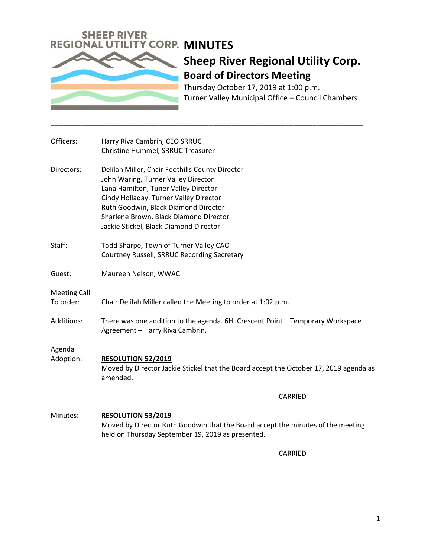

Thursday October 17, 2019 at 1:00 p.m. Turner Valley Municipal Office – Council Chambers

| Officers:                        | Harry Riva Cambrin, CEO SRRUC<br>Christine Hummel, SRRUC Treasurer                                                                                                                                                                                                                                   |
|----------------------------------|------------------------------------------------------------------------------------------------------------------------------------------------------------------------------------------------------------------------------------------------------------------------------------------------------|
| Directors:                       | Delilah Miller, Chair Foothills County Director<br>John Waring, Turner Valley Director<br>Lana Hamilton, Tuner Valley Director<br>Cindy Holladay, Turner Valley Director<br>Ruth Goodwin, Black Diamond Director<br>Sharlene Brown, Black Diamond Director<br>Jackie Stickel, Black Diamond Director |
| Staff:                           | Todd Sharpe, Town of Turner Valley CAO<br>Courtney Russell, SRRUC Recording Secretary                                                                                                                                                                                                                |
| Guest:                           | Maureen Nelson, WWAC                                                                                                                                                                                                                                                                                 |
| <b>Meeting Call</b><br>To order: | Chair Delilah Miller called the Meeting to order at 1:02 p.m.                                                                                                                                                                                                                                        |
| Additions:                       | There was one addition to the agenda. 6H. Crescent Point - Temporary Workspace<br>Agreement - Harry Riva Cambrin.                                                                                                                                                                                    |
| Agenda<br>Adoption:              | RESOLUTION 52/2019<br>Moved by Director Jackie Stickel that the Board accept the October 17, 2019 agenda as<br>amended.                                                                                                                                                                              |
|                                  | CARRIED                                                                                                                                                                                                                                                                                              |
| Minutes:                         | <b>RESOLUTION 53/2019</b><br>Moved by Director Ruth Goodwin that the Board accept the minutes of the meeting<br>held on Thursday September 19, 2019 as presented.                                                                                                                                    |
|                                  | CARRIED                                                                                                                                                                                                                                                                                              |

\_\_\_\_\_\_\_\_\_\_\_\_\_\_\_\_\_\_\_\_\_\_\_\_\_\_\_\_\_\_\_\_\_\_\_\_\_\_\_\_\_\_\_\_\_\_\_\_\_\_\_\_\_\_\_\_\_\_\_\_\_\_\_\_\_\_\_\_\_\_\_\_\_\_\_\_\_\_\_\_\_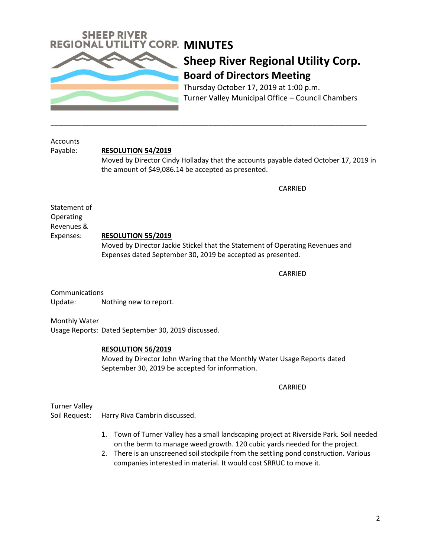

Thursday October 17, 2019 at 1:00 p.m. Turner Valley Municipal Office – Council Chambers

**Accounts** 

Payable: **RESOLUTION 54/2019**

Moved by Director Cindy Holladay that the accounts payable dated October 17, 2019 in the amount of \$49,086.14 be accepted as presented.

\_\_\_\_\_\_\_\_\_\_\_\_\_\_\_\_\_\_\_\_\_\_\_\_\_\_\_\_\_\_\_\_\_\_\_\_\_\_\_\_\_\_\_\_\_\_\_\_\_\_\_\_\_\_\_\_\_\_\_\_\_\_\_\_\_\_\_\_\_\_\_\_\_\_\_\_\_\_\_\_\_\_

CARRIED

Statement of Operating Revenues &

## Expenses: **RESOLUTION 55/2019**

Moved by Director Jackie Stickel that the Statement of Operating Revenues and Expenses dated September 30, 2019 be accepted as presented.

CARRIED

Communications Update: Nothing new to report.

Monthly Water Usage Reports: Dated September 30, 2019 discussed.

## **RESOLUTION 56/2019**

Moved by Director John Waring that the Monthly Water Usage Reports dated September 30, 2019 be accepted for information.

CARRIED

Turner Valley

Soil Request: Harry Riva Cambrin discussed.

- 1. Town of Turner Valley has a small landscaping project at Riverside Park. Soil needed on the berm to manage weed growth. 120 cubic yards needed for the project.
- 2. There is an unscreened soil stockpile from the settling pond construction. Various companies interested in material. It would cost SRRUC to move it.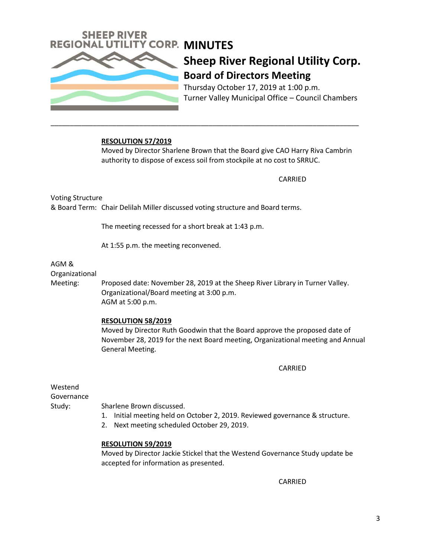

Thursday October 17, 2019 at 1:00 p.m. Turner Valley Municipal Office – Council Chambers

### **RESOLUTION 57/2019**

Moved by Director Sharlene Brown that the Board give CAO Harry Riva Cambrin authority to dispose of excess soil from stockpile at no cost to SRRUC.

\_\_\_\_\_\_\_\_\_\_\_\_\_\_\_\_\_\_\_\_\_\_\_\_\_\_\_\_\_\_\_\_\_\_\_\_\_\_\_\_\_\_\_\_\_\_\_\_\_\_\_\_\_\_\_\_\_\_\_\_\_\_\_\_\_\_\_\_\_\_\_\_\_\_\_\_\_\_\_\_

CARRIED

Voting Structure & Board Term: Chair Delilah Miller discussed voting structure and Board terms.

The meeting recessed for a short break at 1:43 p.m.

At 1:55 p.m. the meeting reconvened.

## AGM &

Organizational

Meeting: Proposed date: November 28, 2019 at the Sheep River Library in Turner Valley. Organizational/Board meeting at 3:00 p.m. AGM at 5:00 p.m.

#### **RESOLUTION 58/2019**

Moved by Director Ruth Goodwin that the Board approve the proposed date of November 28, 2019 for the next Board meeting, Organizational meeting and Annual General Meeting.

CARRIED

Westend Governance

Study: Sharlene Brown discussed.

- 1. Initial meeting held on October 2, 2019. Reviewed governance & structure.
- 2. Next meeting scheduled October 29, 2019.

#### **RESOLUTION 59/2019**

Moved by Director Jackie Stickel that the Westend Governance Study update be accepted for information as presented.

CARRIED